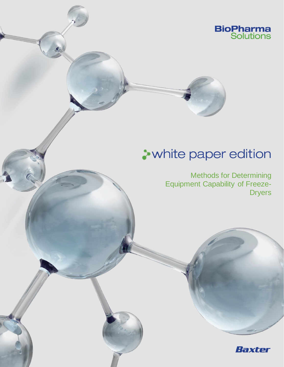

# **A** white paper edition

Methods for Determining Equipment Capability of Freeze-Dryers

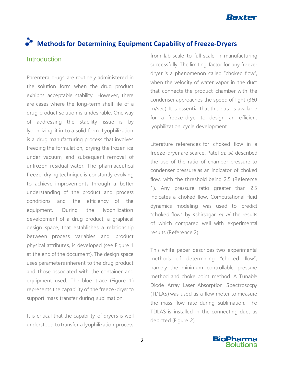

## **Methods for Determining Equipment Capability of Freeze-Dryers**

#### **Introduction**

Parenteral drugs are routinely administered in the solution form when the drug product exhibits acceptable stability. However, there are cases where the long-term shelf life of a drug product solution is undesirable. One way of addressing the stability issue is by lyophilizing it in to a solid form. Lyophilization is a drug manufacturing process that involves freezing the formulation, drying the frozen ice under vacuum, and subsequent removal of unfrozen residual water. The pharmaceutical freeze-drying technique is constantly evolving to achieve improvements through a better understanding of the product and process conditions and the efficiency of the equipment. During the lyophilization development of a drug product, a graphical design space, that establishes a relationship between process variables and product physical attributes, is developed (see Figure 1 at the end of the document). The design space uses parameters inherent to the drug product and those associated with the container and equipment used. The blue trace (Figure 1) represents the capability of the freeze-dryer to support mass transfer during sublimation.

It is critical that the capability of dryers is well understood to transfer a lyophilization process

from lab-scale to full-scale in manufacturing successfully. The limiting factor for any freezedryer is a phenomenon called "choked flow", when the velocity of water vapor in the duct that connects the product chamber with the condenser approaches the speed of light (360 m/sec). It is essential that this data is available for a freeze-dryer to design an efficient lyophilization cycle development.

Literature references for choked flow in a freeze-dryer are scarce. Patel et. al. described the use of the ratio of chamber pressure to condenser pressure as an indicator of choked flow, with the threshold being 2.5 (Reference 1). Any pressure ratio greater than 2.5 indicates a choked flow. Computational fluid dynamics modeling was used to predict "choked flow" by Kshirsagar et. al. the results of which compared well with experimental results (Reference 2).

This white paper describes two experimental methods of determining "choked flow", namely the minimum controllable pressure method and choke point method. A Tunable Diode Array Laser Absorption Spectroscopy (TDLAS) was used as a flow meter to measure the mass flow rate during sublimation. The TDLAS is installed in the connecting duct as depicted (Figure 2).

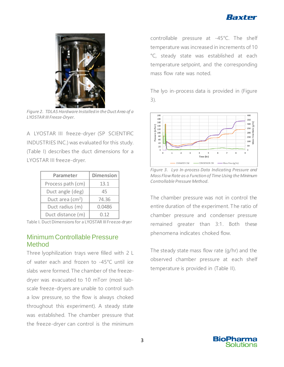



*Figure 2. TDLAS Hardware Installed in the Duct Area of a LYOSTAR III Freeze-Dryer*.

A LYOSTAR III freeze-dryer (SP SCIENTIFIC INDUSTRIES INC.) was evaluated for this study. (Table I) describes the duct dimensions for a LYOSTAR III freeze-dryer.

| Parameter                    | <b>Dimension</b> |
|------------------------------|------------------|
| Process path (cm)            | 13.1             |
| Duct angle (deg)             | 45               |
| Duct area (cm <sup>2</sup> ) | 74.36            |
| Duct radius (m)              | 0.0486           |
| Duct distance (m)            | N 12             |

Table I. Duct Dimensions for a LYOSTAR III Freeze-dryer

#### Minimum Controllable Pressure **Method**

Three lyophilization trays were filled with 2 L of water each and frozen to -45°C until ice slabs were formed. The chamber of the freezedryer was evacuated to 10 mTorr (most labscale freeze-dryers are unable to control such a low pressure, so the flow is always choked throughout this experiment). A steady state was established. The chamber pressure that the freeze-dryer can control is the minimum controllable pressure at -45°C. The shelf temperature was increased in increments of 10 °C, steady state was established at each temperature setpoint, and the corresponding mass flow rate was noted.

The lyo in-process data is provided in (Figure 3).



*Figure 3. Lyo In-process Data Indicating Pressure and Mass Flow Rate as a Function of Time Using the Minimum Controllable Pressure Method.*

The chamber pressure was not in control the entire duration of the experiment. The ratio of chamber pressure and condenser pressure remained greater than 3:1. Both these phenomena indicates choked flow.

The steady state mass flow rate (g/hr) and the observed chamber pressure at each shelf temperature is provided in (Table II).

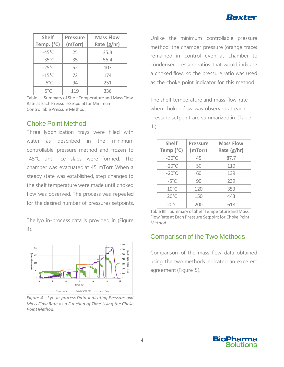

| <b>Shelf</b>        | <b>Pressure</b> | <b>Mass Flow</b> |
|---------------------|-----------------|------------------|
| Temp. $(^{\circ}C)$ | (mTorr)         | Rate $(g/hr)$    |
| $-45^{\circ}$ C     | 25              | 35.3             |
| $-35^{\circ}$ C     | 35              | 56.4             |
| $-25^{\circ}$ C     | 52              | 107              |
| $-15^{\circ}$ C     | 72              | 174              |
| $-5^{\circ}$ C      | 94              | 251              |
| $5^{\circ}$ C       | 119             | 336              |

Table III. Summary of Shelf Temperature and Mass Flow Rate at Each Pressure Setpoint for Minimum Controllable Pressure Method.

#### Choke Point Method

Three lyophilization trays were filled with water as described in the minimum controllable pressure method and frozen to -45°C until ice slabs were formed. The chamber was evacuated at 45 mTorr. When a steady state was established, step changes to the shelf temperature were made until choked flow was observed. The process was repeated for the desired number of pressures setpoints.

The lyo in-process data is provided in (Figure 4).



*Figure 4. Lyo In-process Data Indicating Pressure and Mass Flow Rate as a Function of Time Using the Choke Point Method.*

Unlike the minimum controllable pressure method, the chamber pressure (orange trace) remained in control even at chamber to condenser pressure ratios that would indicate a choked flow, so the pressure ratio was used as the choke point indicator for this method.

The shelf temperature and mass flow rate when choked flow was observed at each pressure setpoint are summarized in (Table  $\| \|$ ).

| <b>Shelf</b>    | <b>Pressure</b> | <b>Mass Flow</b> |
|-----------------|-----------------|------------------|
| Temp (°C)       | (mTorr)         | Rate (g/hr)      |
| $-30^{\circ}$ C | 45              | 87.7             |
| $-20^{\circ}$ C | 50              | 110              |
| $-20^{\circ}$ C | 60              | 139              |
| $-5^{\circ}$ C  | 90              | 239              |
| $10^{\circ}$ C  | 120             | 353              |
| $20^{\circ}$ C  | 150             | 443              |
| $20^{\circ}$ C  | 200             | 618              |

Table IIIII. Summary of Shelf Temperature and Mass Flow Rate at Each Pressure Setpoint for Choke Point Method.

### Comparison of the Two Methods

Comparison of the mass flow data obtained using the two methods indicated an excellent agreement (Figure 5).

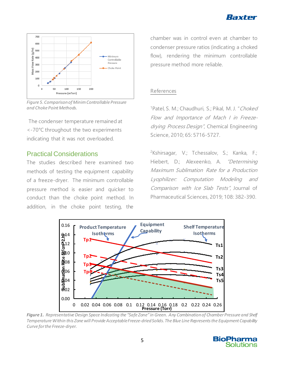



*Figure 5. Comparison of Minim Controllable Pressure and Choke Point Methods.*

The condenser temperature remained at <-70°C throughout the two experiments indicating that it was not overloaded.

#### Practical Considerations

The studies described here examined two methods of testing the equipment capability of a freeze-dryer. The minimum controllable pressure method is easier and quicker to conduct than the choke point method. In addition, in the choke point testing, the

chamber was in control even at chamber to condenser pressure ratios (indicating a choked flow), rendering the minimum controllable pressure method more reliable.

#### References

<sup>1</sup>Patel, S. M.; Chaudhuri, S.; Pikal, M. J. "Choked Flow and Importance of Mach I in Freezedrying Process Design", Chemical Engineering Science, 2010; 65: 5716-5727.

<sup>2</sup>Kshirsagar, V.; Tchessalov, S.; Kanka, F.; Hiebert, D.; Alexeenko, A. "Determining Maximum Sublimation Rate for a Production Lyophilizer: Computation Modeling and Comparison with Ice Slab Tests", Journal of Pharmaceutical Sciences, 2019; 108: 382-390.



*Figure 1. Representative Design Space Indicating the "Safe Zone" in Green. Any Combination of Chamber Pressure and Shelf Temperature Within this Zone will Provide Acceptable Freeze-dried Solids. The Blue Line Represents the Equipment Capability Curve for the Freeze-dryer.*